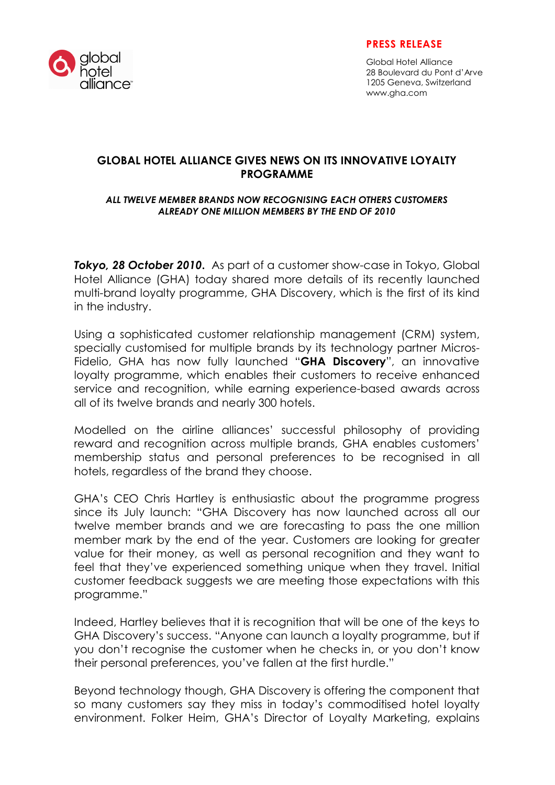

### **PRESS RELEASE**

Global Hotel Alliance 28 Boulevard du Pont d'Arve 1205 Geneva, Switzerland www.gha.com

# **GLOBAL HOTEL ALLIANCE GIVES NEWS ON ITS INNOVATIVE LOYALTY PROGRAMME**

#### *ALL TWELVE MEMBER BRANDS NOW RECOGNISING EACH OTHERS CUSTOMERS ALREADY ONE MILLION MEMBERS BY THE END OF 2010*

*Tokyo, 28 October 2010***.** As part of a customer show-case in Tokyo, Global Hotel Alliance (GHA) today shared more details of its recently launched multi-brand loyalty programme, GHA Discovery, which is the first of its kind in the industry.

Using a sophisticated customer relationship management (CRM) system, specially customised for multiple brands by its technology partner Micros-Fidelio, GHA has now fully launched "**GHA Discovery**", an innovative loyalty programme, which enables their customers to receive enhanced service and recognition, while earning experience-based awards across all of its twelve brands and nearly 300 hotels.

Modelled on the airline alliances' successful philosophy of providing reward and recognition across multiple brands, GHA enables customers' membership status and personal preferences to be recognised in all hotels, regardless of the brand they choose.

GHA's CEO Chris Hartley is enthusiastic about the programme progress since its July launch: "GHA Discovery has now launched across all our twelve member brands and we are forecasting to pass the one million member mark by the end of the year. Customers are looking for greater value for their money, as well as personal recognition and they want to feel that they've experienced something unique when they travel. Initial customer feedback suggests we are meeting those expectations with this programme."

Indeed, Hartley believes that it is recognition that will be one of the keys to GHA Discovery's success. "Anyone can launch a loyalty programme, but if you don't recognise the customer when he checks in, or you don't know their personal preferences, you've fallen at the first hurdle."

Beyond technology though, GHA Discovery is offering the component that so many customers say they miss in today's commoditised hotel loyalty environment. Folker Heim, GHA's Director of Loyalty Marketing, explains